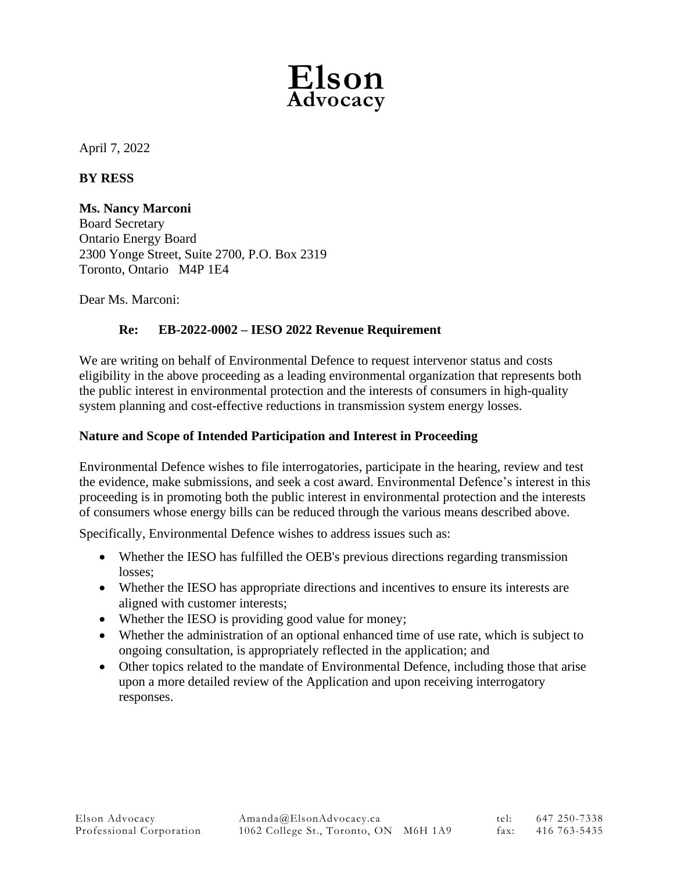

April 7, 2022

# **BY RESS**

# **Ms. Nancy Marconi**

Board Secretary Ontario Energy Board 2300 Yonge Street, Suite 2700, P.O. Box 2319 Toronto, Ontario M4P 1E4

Dear Ms. Marconi:

# **Re: EB-2022-0002 – IESO 2022 Revenue Requirement**

We are writing on behalf of Environmental Defence to request intervenor status and costs eligibility in the above proceeding as a leading environmental organization that represents both the public interest in environmental protection and the interests of consumers in high-quality system planning and cost-effective reductions in transmission system energy losses.

# **Nature and Scope of Intended Participation and Interest in Proceeding**

Environmental Defence wishes to file interrogatories, participate in the hearing, review and test the evidence, make submissions, and seek a cost award. Environmental Defence's interest in this proceeding is in promoting both the public interest in environmental protection and the interests of consumers whose energy bills can be reduced through the various means described above.

Specifically, Environmental Defence wishes to address issues such as:

- Whether the IESO has fulfilled the OEB's previous directions regarding transmission losses;
- Whether the IESO has appropriate directions and incentives to ensure its interests are aligned with customer interests;
- Whether the IESO is providing good value for money;
- Whether the administration of an optional enhanced time of use rate, which is subject to ongoing consultation, is appropriately reflected in the application; and
- Other topics related to the mandate of Environmental Defence, including those that arise upon a more detailed review of the Application and upon receiving interrogatory responses.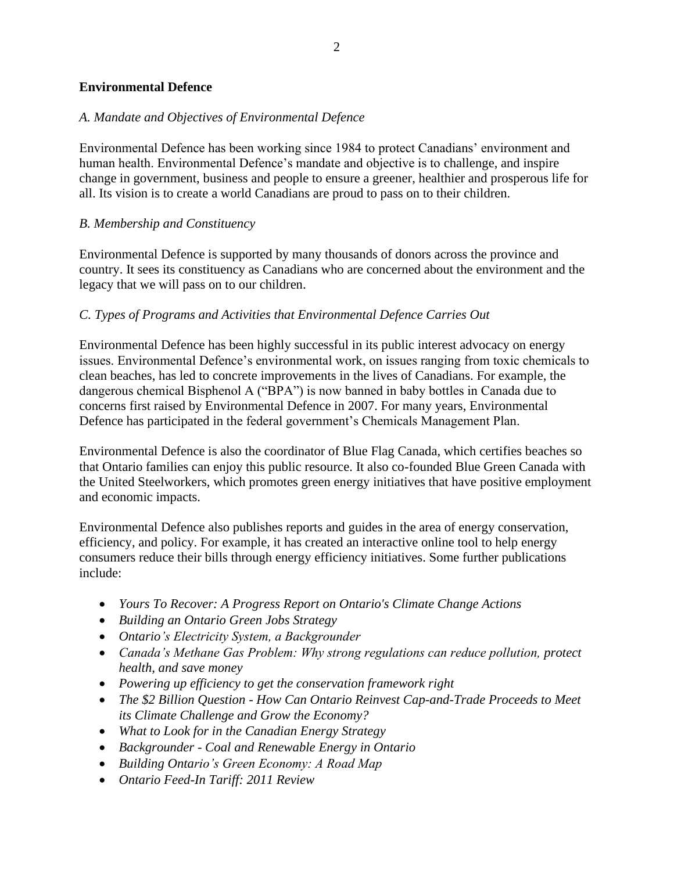# **Environmental Defence**

# *A. Mandate and Objectives of Environmental Defence*

Environmental Defence has been working since 1984 to protect Canadians' environment and human health. Environmental Defence's mandate and objective is to challenge, and inspire change in government, business and people to ensure a greener, healthier and prosperous life for all. Its vision is to create a world Canadians are proud to pass on to their children.

## *B. Membership and Constituency*

Environmental Defence is supported by many thousands of donors across the province and country. It sees its constituency as Canadians who are concerned about the environment and the legacy that we will pass on to our children.

## *C. Types of Programs and Activities that Environmental Defence Carries Out*

Environmental Defence has been highly successful in its public interest advocacy on energy issues. Environmental Defence's environmental work, on issues ranging from toxic chemicals to clean beaches, has led to concrete improvements in the lives of Canadians. For example, the dangerous chemical Bisphenol A ("BPA") is now banned in baby bottles in Canada due to concerns first raised by Environmental Defence in 2007. For many years, Environmental Defence has participated in the federal government's Chemicals Management Plan.

Environmental Defence is also the coordinator of Blue Flag Canada, which certifies beaches so that Ontario families can enjoy this public resource. It also co-founded Blue Green Canada with the United Steelworkers, which promotes green energy initiatives that have positive employment and economic impacts.

Environmental Defence also publishes reports and guides in the area of energy conservation, efficiency, and policy. For example, it has created an interactive online tool to help energy consumers reduce their bills through energy efficiency initiatives. Some further publications include:

- *Yours To Recover: A Progress Report on Ontario's Climate Change Actions*
- *Building an Ontario Green Jobs Strategy*
- *Ontario's Electricity System, a Backgrounder*
- *Canada's Methane Gas Problem: Why strong regulations can reduce pollution, protect health, and save money*
- *Powering up efficiency to get the conservation framework right*
- *The \$2 Billion Question - How Can Ontario Reinvest Cap-and-Trade Proceeds to Meet its Climate Challenge and Grow the Economy?*
- *What to Look for in the Canadian Energy Strategy*
- *Backgrounder - Coal and Renewable Energy in Ontario*
- *Building Ontario's Green Economy: A Road Map*
- *Ontario Feed-In Tariff: 2011 Review*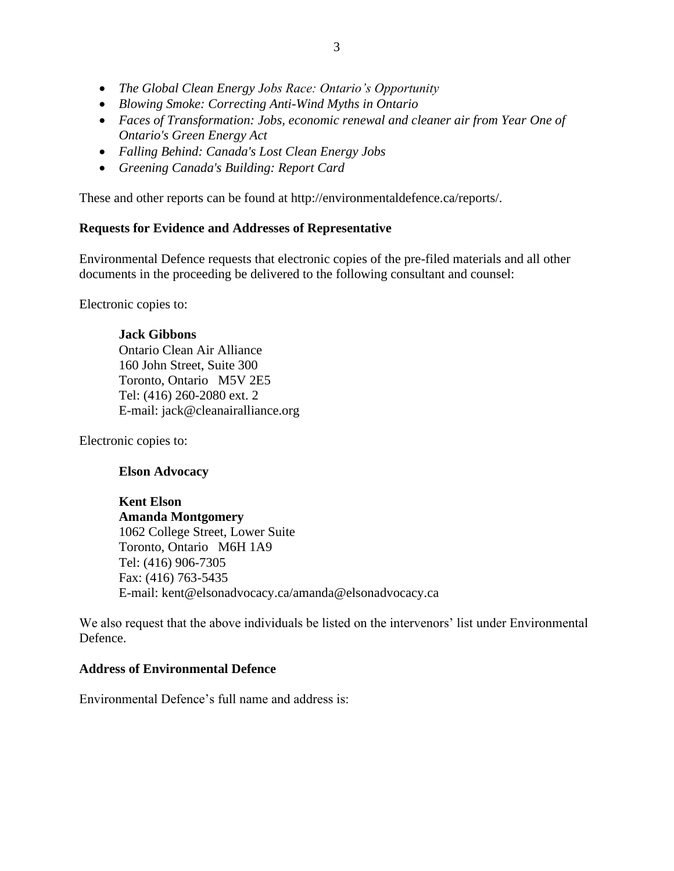- *The Global Clean Energy Jobs Race: Ontario's Opportunity*
- *Blowing Smoke: Correcting Anti-Wind Myths in Ontario*
- *Faces of Transformation: Jobs, economic renewal and cleaner air from Year One of Ontario's Green Energy Act*
- *Falling Behind: Canada's Lost Clean Energy Jobs*
- *Greening Canada's Building: Report Card*

These and other reports can be found at http://environmentaldefence.ca/reports/.

#### **Requests for Evidence and Addresses of Representative**

Environmental Defence requests that electronic copies of the pre-filed materials and all other documents in the proceeding be delivered to the following consultant and counsel:

Electronic copies to:

## **Jack Gibbons**

Ontario Clean Air Alliance 160 John Street, Suite 300 Toronto, Ontario M5V 2E5 Tel: (416) 260-2080 ext. 2 E-mail: jack@cleanairalliance.org

Electronic copies to:

## **Elson Advocacy**

**Kent Elson Amanda Montgomery** 1062 College Street, Lower Suite Toronto, Ontario M6H 1A9 Tel: (416) 906-7305 Fax: (416) 763-5435 E-mail: kent@elsonadvocacy.ca/amanda@elsonadvocacy.ca

We also request that the above individuals be listed on the intervenors' list under Environmental Defence.

## **Address of Environmental Defence**

Environmental Defence's full name and address is: